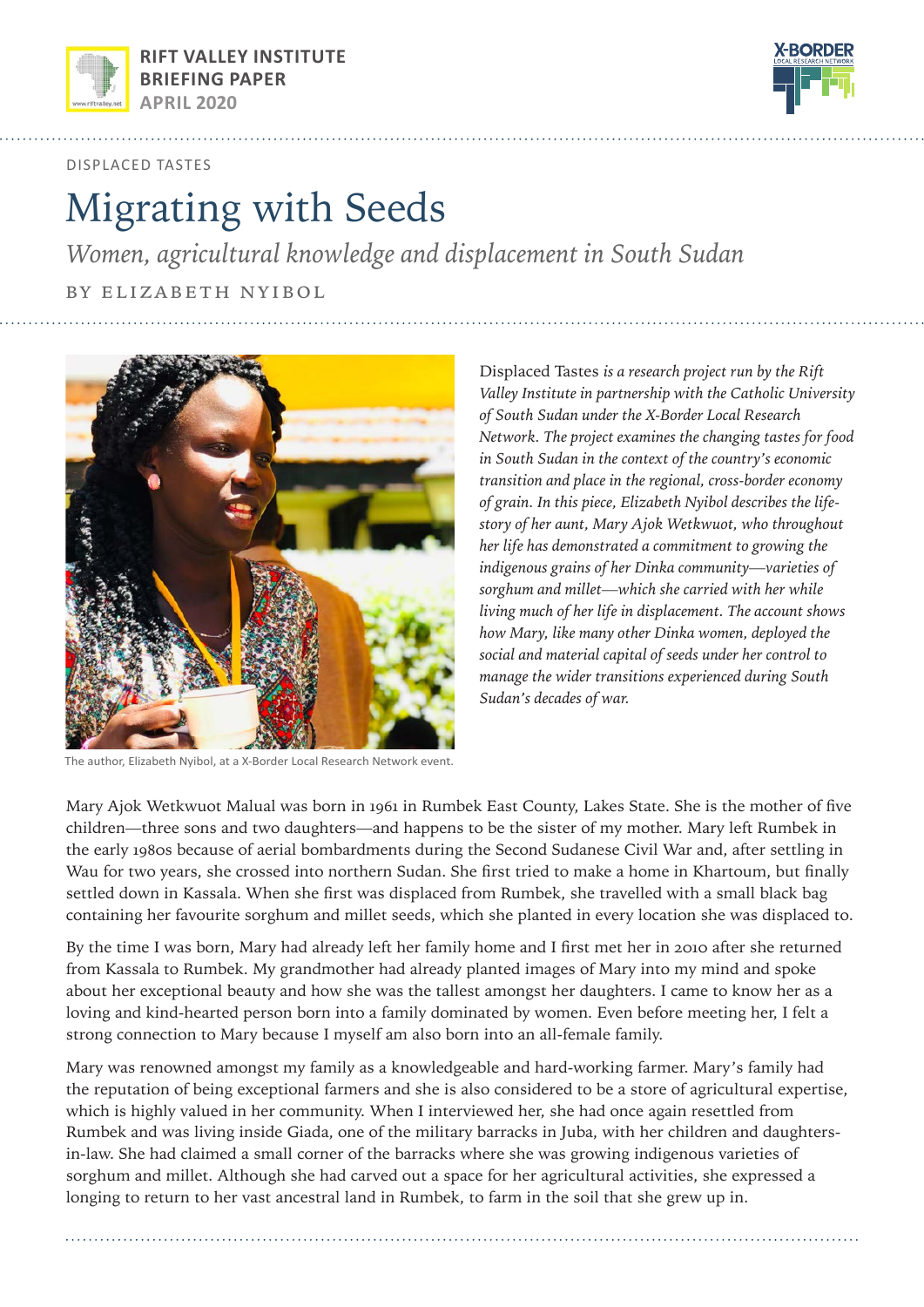



displaced tastes

# Migrating with Seeds

*Women, agricultural knowledge and displacement in South Sudan*

by elizabeth nyibol



The author, Elizabeth Nyibol, at a X-Border Local Research Network event.

Displaced Tastes *is a research project run by the Rift Valley Institute in partnership with the Catholic University of South Sudan under the X-Border Local Research Network. The project examines the changing tastes for food in South Sudan in the context of the country's economic transition and place in the regional, cross-border economy of grain. In this piece, Elizabeth Nyibol describes the lifestory of her aunt, Mary Ajok Wetkwuot, who throughout her life has demonstrated a commitment to growing the indigenous grains of her Dinka community—varieties of sorghum and millet—which she carried with her while living much of her life in displacement. The account shows how Mary, like many other Dinka women, deployed the social and material capital of seeds under her control to manage the wider transitions experienced during South Sudan's decades of war.* 

Mary Ajok Wetkwuot Malual was born in 1961 in Rumbek East County, Lakes State. She is the mother of five children—three sons and two daughters—and happens to be the sister of my mother. Mary left Rumbek in the early 1980s because of aerial bombardments during the Second Sudanese Civil War and, after settling in Wau for two years, she crossed into northern Sudan. She first tried to make a home in Khartoum, but finally settled down in Kassala. When she first was displaced from Rumbek, she travelled with a small black bag containing her favourite sorghum and millet seeds, which she planted in every location she was displaced to.

By the time I was born, Mary had already left her family home and I first met her in 2010 after she returned from Kassala to Rumbek. My grandmother had already planted images of Mary into my mind and spoke about her exceptional beauty and how she was the tallest amongst her daughters. I came to know her as a loving and kind-hearted person born into a family dominated by women. Even before meeting her, I felt a strong connection to Mary because I myself am also born into an all-female family.

Mary was renowned amongst my family as a knowledgeable and hard-working farmer. Mary's family had the reputation of being exceptional farmers and she is also considered to be a store of agricultural expertise, which is highly valued in her community. When I interviewed her, she had once again resettled from Rumbek and was living inside Giada, one of the military barracks in Juba, with her children and daughtersin-law. She had claimed a small corner of the barracks where she was growing indigenous varieties of sorghum and millet. Although she had carved out a space for her agricultural activities, she expressed a longing to return to her vast ancestral land in Rumbek, to farm in the soil that she grew up in.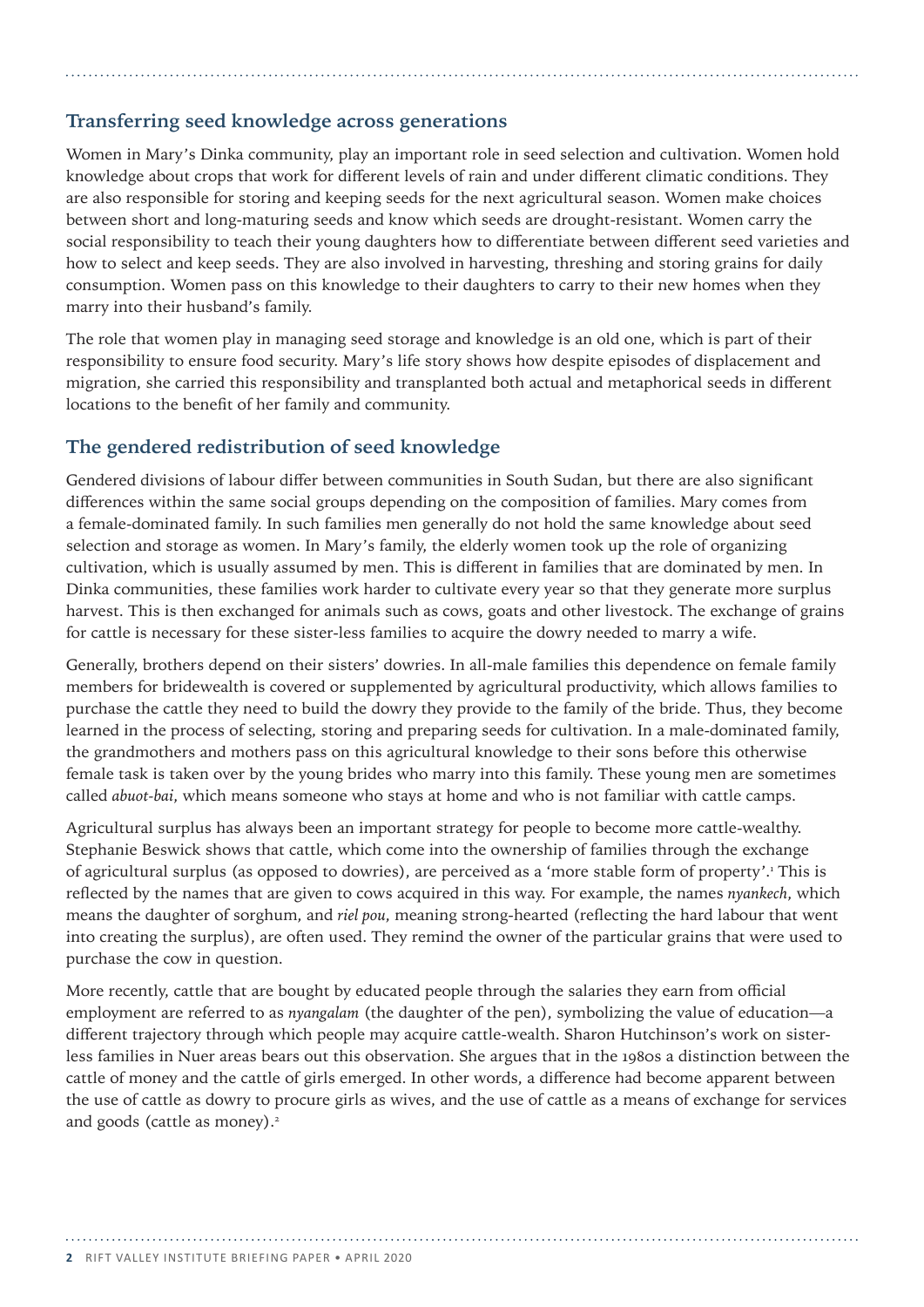## **Transferring seed knowledge across generations**

Women in Mary's Dinka community, play an important role in seed selection and cultivation. Women hold knowledge about crops that work for different levels of rain and under different climatic conditions. They are also responsible for storing and keeping seeds for the next agricultural season. Women make choices between short and long-maturing seeds and know which seeds are drought-resistant. Women carry the social responsibility to teach their young daughters how to differentiate between different seed varieties and how to select and keep seeds. They are also involved in harvesting, threshing and storing grains for daily consumption. Women pass on this knowledge to their daughters to carry to their new homes when they marry into their husband's family.

The role that women play in managing seed storage and knowledge is an old one, which is part of their responsibility to ensure food security. Mary's life story shows how despite episodes of displacement and migration, she carried this responsibility and transplanted both actual and metaphorical seeds in different locations to the benefit of her family and community.

#### **The gendered redistribution of seed knowledge**

Gendered divisions of labour differ between communities in South Sudan, but there are also significant differences within the same social groups depending on the composition of families. Mary comes from a female-dominated family. In such families men generally do not hold the same knowledge about seed selection and storage as women. In Mary's family, the elderly women took up the role of organizing cultivation, which is usually assumed by men. This is different in families that are dominated by men. In Dinka communities, these families work harder to cultivate every year so that they generate more surplus harvest. This is then exchanged for animals such as cows, goats and other livestock. The exchange of grains for cattle is necessary for these sister-less families to acquire the dowry needed to marry a wife.

Generally, brothers depend on their sisters' dowries. In all-male families this dependence on female family members for bridewealth is covered or supplemented by agricultural productivity, which allows families to purchase the cattle they need to build the dowry they provide to the family of the bride. Thus, they become learned in the process of selecting, storing and preparing seeds for cultivation. In a male-dominated family, the grandmothers and mothers pass on this agricultural knowledge to their sons before this otherwise female task is taken over by the young brides who marry into this family. These young men are sometimes called *abuot-bai*, which means someone who stays at home and who is not familiar with cattle camps.

Agricultural surplus has always been an important strategy for people to become more cattle-wealthy. Stephanie Beswick shows that cattle, which come into the ownership of families through the exchange of agricultural surplus (as opposed to dowries), are perceived as a 'more stable form of property'.<sup>1</sup> This is reflected by the names that are given to cows acquired in this way. For example, the names *nyankech*, which means the daughter of sorghum, and *riel pou*, meaning strong-hearted (reflecting the hard labour that went into creating the surplus), are often used. They remind the owner of the particular grains that were used to purchase the cow in question.

More recently, cattle that are bought by educated people through the salaries they earn from official employment are referred to as *nyangalam* (the daughter of the pen), symbolizing the value of education—a different trajectory through which people may acquire cattle-wealth. Sharon Hutchinson's work on sisterless families in Nuer areas bears out this observation. She argues that in the 1980s a distinction between the cattle of money and the cattle of girls emerged. In other words, a difference had become apparent between the use of cattle as dowry to procure girls as wives, and the use of cattle as a means of exchange for services and goods (cattle as money).<sup>2</sup>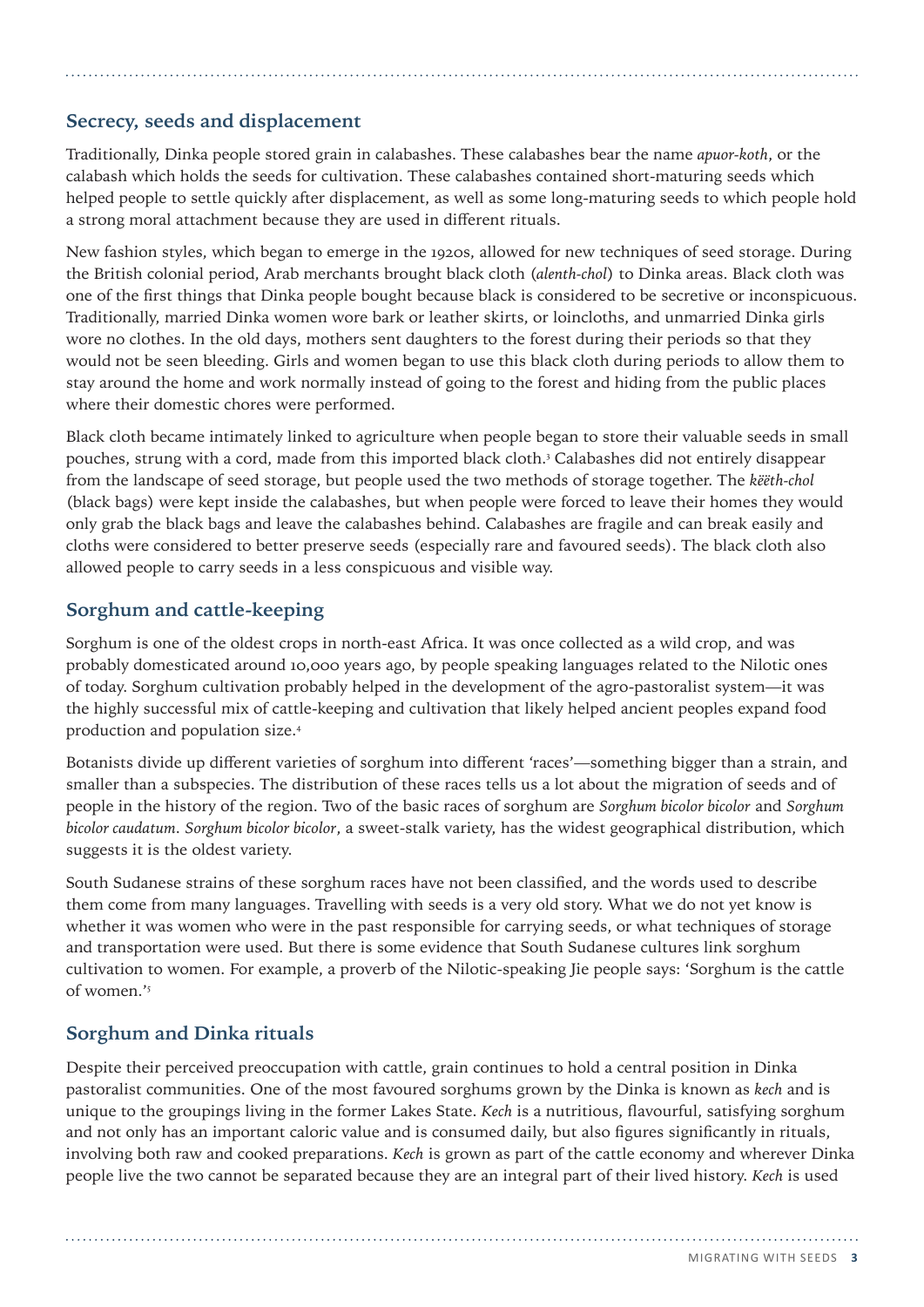## **Secrecy, seeds and displacement**

Traditionally, Dinka people stored grain in calabashes. These calabashes bear the name *apuor-koth*, or the calabash which holds the seeds for cultivation. These calabashes contained short-maturing seeds which helped people to settle quickly after displacement, as well as some long-maturing seeds to which people hold a strong moral attachment because they are used in different rituals.

New fashion styles, which began to emerge in the 1920s, allowed for new techniques of seed storage. During the British colonial period, Arab merchants brought black cloth (*alenth-chol*) to Dinka areas. Black cloth was one of the first things that Dinka people bought because black is considered to be secretive or inconspicuous. Traditionally, married Dinka women wore bark or leather skirts, or loincloths, and unmarried Dinka girls wore no clothes. In the old days, mothers sent daughters to the forest during their periods so that they would not be seen bleeding. Girls and women began to use this black cloth during periods to allow them to stay around the home and work normally instead of going to the forest and hiding from the public places where their domestic chores were performed.

Black cloth became intimately linked to agriculture when people began to store their valuable seeds in small pouches, strung with a cord, made from this imported black cloth.3 Calabashes did not entirely disappear from the landscape of seed storage, but people used the two methods of storage together. The *këëth-chol*  (black bags) were kept inside the calabashes, but when people were forced to leave their homes they would only grab the black bags and leave the calabashes behind. Calabashes are fragile and can break easily and cloths were considered to better preserve seeds (especially rare and favoured seeds). The black cloth also allowed people to carry seeds in a less conspicuous and visible way.

## **Sorghum and cattle-keeping**

Sorghum is one of the oldest crops in north-east Africa. It was once collected as a wild crop, and was probably domesticated around 10,000 years ago, by people speaking languages related to the Nilotic ones of today. Sorghum cultivation probably helped in the development of the agro-pastoralist system—it was the highly successful mix of cattle-keeping and cultivation that likely helped ancient peoples expand food production and population size.4

Botanists divide up different varieties of sorghum into different 'races'—something bigger than a strain, and smaller than a subspecies. The distribution of these races tells us a lot about the migration of seeds and of people in the history of the region. Two of the basic races of sorghum are *Sorghum bicolor bicolor* and *Sorghum bicolor caudatum*. *Sorghum bicolor bicolor*, a sweet-stalk variety, has the widest geographical distribution, which suggests it is the oldest variety.

South Sudanese strains of these sorghum races have not been classified, and the words used to describe them come from many languages. Travelling with seeds is a very old story. What we do not yet know is whether it was women who were in the past responsible for carrying seeds, or what techniques of storage and transportation were used. But there is some evidence that South Sudanese cultures link sorghum cultivation to women. For example, a proverb of the Nilotic-speaking Jie people says: 'Sorghum is the cattle of women.'5

## **Sorghum and Dinka rituals**

Despite their perceived preoccupation with cattle, grain continues to hold a central position in Dinka pastoralist communities. One of the most favoured sorghums grown by the Dinka is known as *kech* and is unique to the groupings living in the former Lakes State. *Kech* is a nutritious, flavourful, satisfying sorghum and not only has an important caloric value and is consumed daily, but also figures significantly in rituals, involving both raw and cooked preparations. *Kech* is grown as part of the cattle economy and wherever Dinka people live the two cannot be separated because they are an integral part of their lived history. *Kech* is used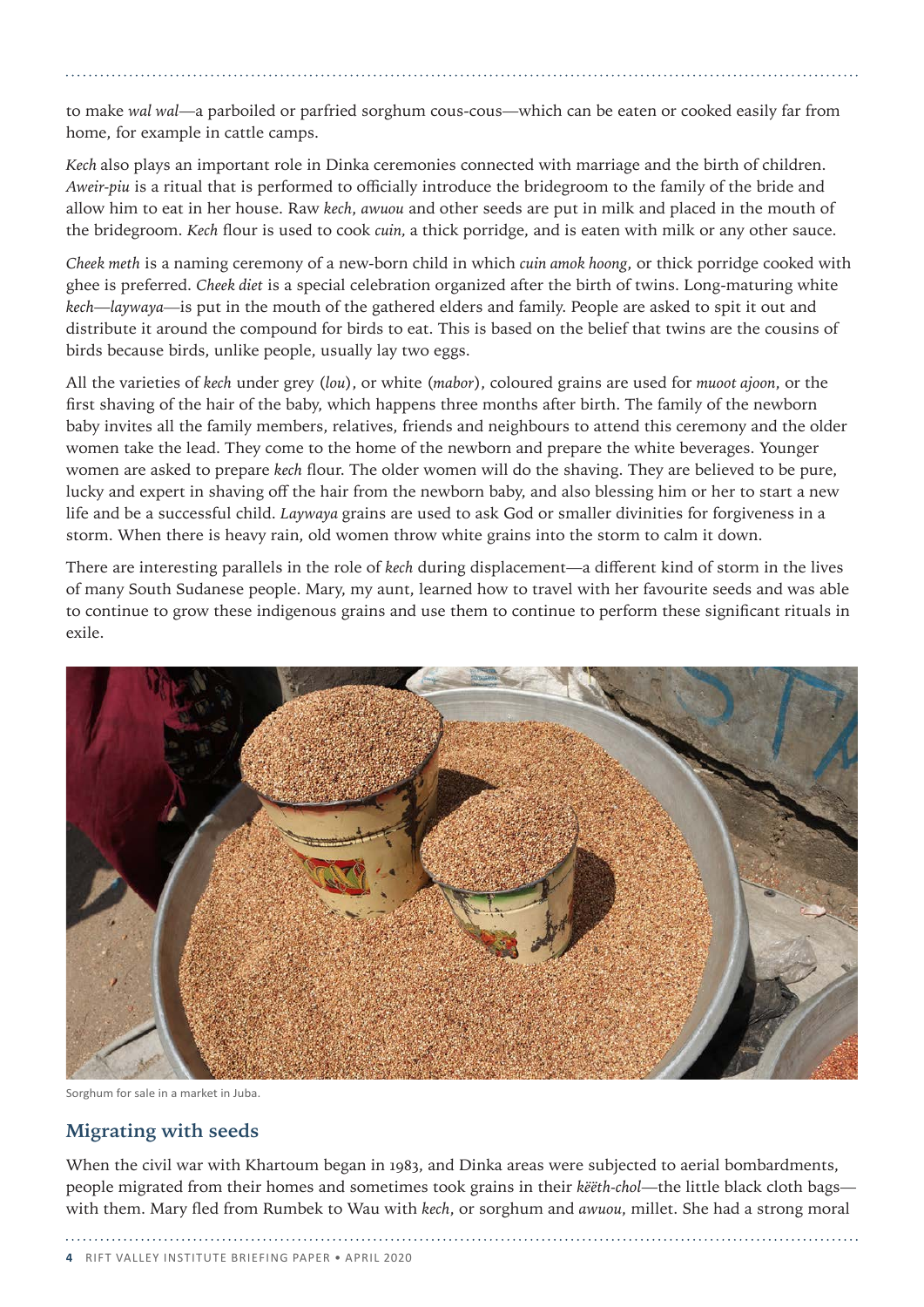to make *wal wal*—a parboiled or parfried sorghum cous-cous—which can be eaten or cooked easily far from home, for example in cattle camps.

*Kech* also plays an important role in Dinka ceremonies connected with marriage and the birth of children. *Aweir-piu* is a ritual that is performed to officially introduce the bridegroom to the family of the bride and allow him to eat in her house. Raw *kech*, *awuou* and other seeds are put in milk and placed in the mouth of the bridegroom. *Kech* flour is used to cook *cuin,* a thick porridge, and is eaten with milk or any other sauce.

*Cheek meth* is a naming ceremony of a new-born child in which *cuin amok hoong*, or thick porridge cooked with ghee is preferred. *Cheek diet* is a special celebration organized after the birth of twins. Long-maturing white *kech*—*laywaya—*is put in the mouth of the gathered elders and family. People are asked to spit it out and distribute it around the compound for birds to eat. This is based on the belief that twins are the cousins of birds because birds, unlike people, usually lay two eggs.

All the varieties of *kech* under grey (*lou*), or white (*mabor*), coloured grains are used for *muoot ajoon*, or the first shaving of the hair of the baby, which happens three months after birth. The family of the newborn baby invites all the family members, relatives, friends and neighbours to attend this ceremony and the older women take the lead. They come to the home of the newborn and prepare the white beverages. Younger women are asked to prepare *kech* flour. The older women will do the shaving. They are believed to be pure, lucky and expert in shaving off the hair from the newborn baby, and also blessing him or her to start a new life and be a successful child. *Laywaya* grains are used to ask God or smaller divinities for forgiveness in a storm. When there is heavy rain, old women throw white grains into the storm to calm it down.

There are interesting parallels in the role of *kech* during displacement—a different kind of storm in the lives of many South Sudanese people. Mary, my aunt, learned how to travel with her favourite seeds and was able to continue to grow these indigenous grains and use them to continue to perform these significant rituals in exile.



Sorghum for sale in a market in Juba.

## **Migrating with seeds**

When the civil war with Khartoum began in 1983, and Dinka areas were subjected to aerial bombardments, people migrated from their homes and sometimes took grains in their *këëth-chol*—the little black cloth bags with them. Mary fled from Rumbek to Wau with *kech*, or sorghum and *awuou*, millet. She had a strong moral

**4** rift valley institute briefing paper • april 2020